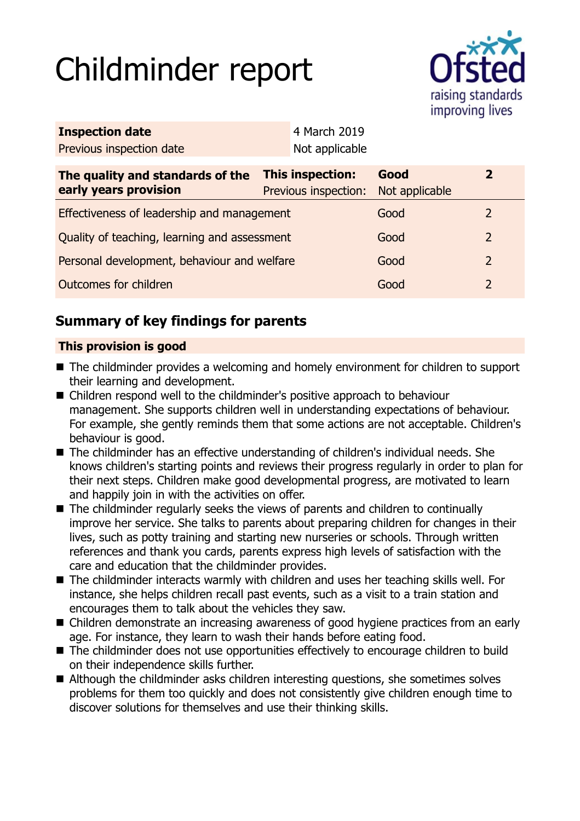# Childminder report



| <b>Inspection date</b>                                    |                                                 | 4 March 2019   |                        |                |  |
|-----------------------------------------------------------|-------------------------------------------------|----------------|------------------------|----------------|--|
| Previous inspection date                                  |                                                 | Not applicable |                        |                |  |
| The quality and standards of the<br>early years provision | <b>This inspection:</b><br>Previous inspection: |                | Good<br>Not applicable | $\overline{2}$ |  |
| Effectiveness of leadership and management                |                                                 |                | Good                   | $\mathcal{L}$  |  |
| Quality of teaching, learning and assessment              |                                                 |                | Good                   | $\overline{2}$ |  |
| Personal development, behaviour and welfare               |                                                 |                | Good                   | $\overline{2}$ |  |
| Outcomes for children                                     |                                                 |                | Good                   | $\overline{2}$ |  |

# **Summary of key findings for parents**

## **This provision is good**

- The childminder provides a welcoming and homely environment for children to support their learning and development.
- Children respond well to the childminder's positive approach to behaviour management. She supports children well in understanding expectations of behaviour. For example, she gently reminds them that some actions are not acceptable. Children's behaviour is good.
- The childminder has an effective understanding of children's individual needs. She knows children's starting points and reviews their progress regularly in order to plan for their next steps. Children make good developmental progress, are motivated to learn and happily join in with the activities on offer.
- $\blacksquare$  The childminder regularly seeks the views of parents and children to continually improve her service. She talks to parents about preparing children for changes in their lives, such as potty training and starting new nurseries or schools. Through written references and thank you cards, parents express high levels of satisfaction with the care and education that the childminder provides.
- The childminder interacts warmly with children and uses her teaching skills well. For instance, she helps children recall past events, such as a visit to a train station and encourages them to talk about the vehicles they saw.
- Children demonstrate an increasing awareness of good hygiene practices from an early age. For instance, they learn to wash their hands before eating food.
- The childminder does not use opportunities effectively to encourage children to build on their independence skills further.
- Although the childminder asks children interesting questions, she sometimes solves problems for them too quickly and does not consistently give children enough time to discover solutions for themselves and use their thinking skills.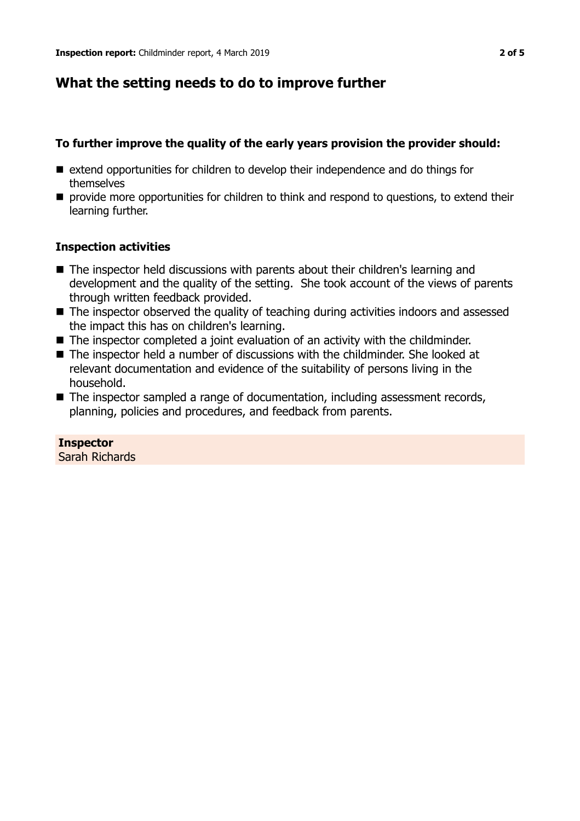## **What the setting needs to do to improve further**

## **To further improve the quality of the early years provision the provider should:**

- $\blacksquare$  extend opportunities for children to develop their independence and do things for themselves
- $\blacksquare$  provide more opportunities for children to think and respond to questions, to extend their learning further.

## **Inspection activities**

- $\blacksquare$  The inspector held discussions with parents about their children's learning and development and the quality of the setting. She took account of the views of parents through written feedback provided.
- The inspector observed the quality of teaching during activities indoors and assessed the impact this has on children's learning.
- $\blacksquare$  The inspector completed a joint evaluation of an activity with the childminder.
- $\blacksquare$  The inspector held a number of discussions with the childminder. She looked at relevant documentation and evidence of the suitability of persons living in the household.
- $\blacksquare$  The inspector sampled a range of documentation, including assessment records, planning, policies and procedures, and feedback from parents.

**Inspector** Sarah Richards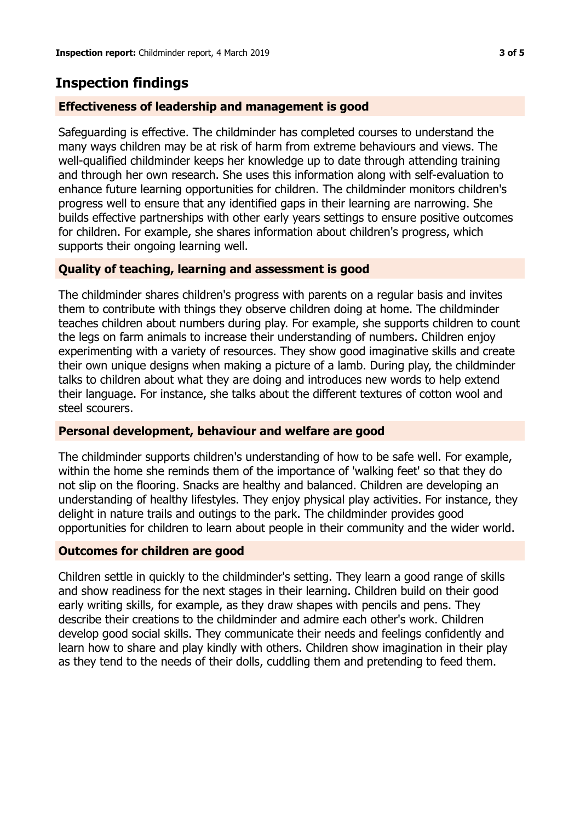## **Inspection findings**

## **Effectiveness of leadership and management is good**

Safeguarding is effective. The childminder has completed courses to understand the many ways children may be at risk of harm from extreme behaviours and views. The well-qualified childminder keeps her knowledge up to date through attending training and through her own research. She uses this information along with self-evaluation to enhance future learning opportunities for children. The childminder monitors children's progress well to ensure that any identified gaps in their learning are narrowing. She builds effective partnerships with other early years settings to ensure positive outcomes for children. For example, she shares information about children's progress, which supports their ongoing learning well.

## **Quality of teaching, learning and assessment is good**

The childminder shares children's progress with parents on a regular basis and invites them to contribute with things they observe children doing at home. The childminder teaches children about numbers during play. For example, she supports children to count the legs on farm animals to increase their understanding of numbers. Children enjoy experimenting with a variety of resources. They show good imaginative skills and create their own unique designs when making a picture of a lamb. During play, the childminder talks to children about what they are doing and introduces new words to help extend their language. For instance, she talks about the different textures of cotton wool and steel scourers.

#### **Personal development, behaviour and welfare are good**

The childminder supports children's understanding of how to be safe well. For example, within the home she reminds them of the importance of 'walking feet' so that they do not slip on the flooring. Snacks are healthy and balanced. Children are developing an understanding of healthy lifestyles. They enjoy physical play activities. For instance, they delight in nature trails and outings to the park. The childminder provides good opportunities for children to learn about people in their community and the wider world.

#### **Outcomes for children are good**

Children settle in quickly to the childminder's setting. They learn a good range of skills and show readiness for the next stages in their learning. Children build on their good early writing skills, for example, as they draw shapes with pencils and pens. They describe their creations to the childminder and admire each other's work. Children develop good social skills. They communicate their needs and feelings confidently and learn how to share and play kindly with others. Children show imagination in their play as they tend to the needs of their dolls, cuddling them and pretending to feed them.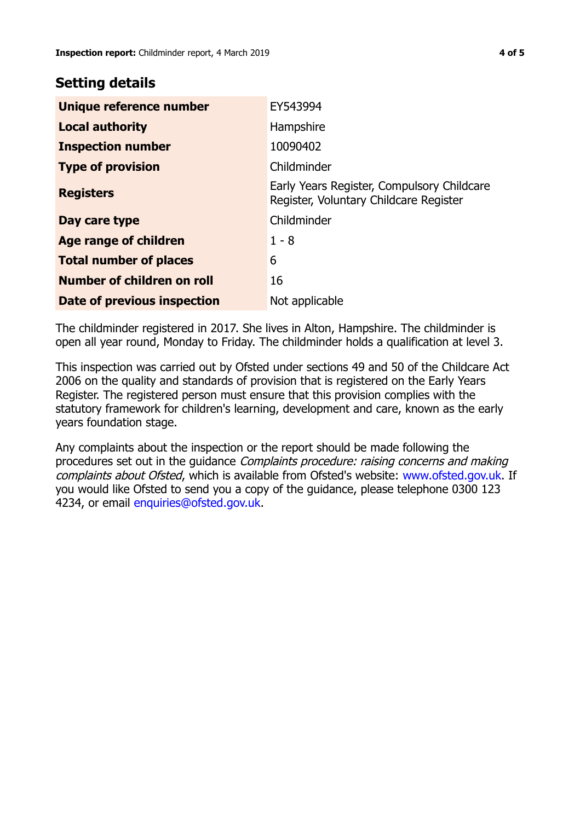## **Setting details**

| Unique reference number       | EY543994                                                                             |
|-------------------------------|--------------------------------------------------------------------------------------|
| <b>Local authority</b>        | Hampshire                                                                            |
| <b>Inspection number</b>      | 10090402                                                                             |
| <b>Type of provision</b>      | Childminder                                                                          |
| <b>Registers</b>              | Early Years Register, Compulsory Childcare<br>Register, Voluntary Childcare Register |
| Day care type                 | Childminder                                                                          |
| Age range of children         | $1 - 8$                                                                              |
| <b>Total number of places</b> | 6                                                                                    |
| Number of children on roll    | 16                                                                                   |
| Date of previous inspection   | Not applicable                                                                       |

The childminder registered in 2017. She lives in Alton, Hampshire. The childminder is open all year round, Monday to Friday. The childminder holds a qualification at level 3.

This inspection was carried out by Ofsted under sections 49 and 50 of the Childcare Act 2006 on the quality and standards of provision that is registered on the Early Years Register. The registered person must ensure that this provision complies with the statutory framework for children's learning, development and care, known as the early years foundation stage.

Any complaints about the inspection or the report should be made following the procedures set out in the guidance Complaints procedure: raising concerns and making complaints about Ofsted, which is available from Ofsted's website: www.ofsted.gov.uk. If you would like Ofsted to send you a copy of the guidance, please telephone 0300 123 4234, or email [enquiries@ofsted.gov.uk.](mailto:enquiries@ofsted.gov.uk)